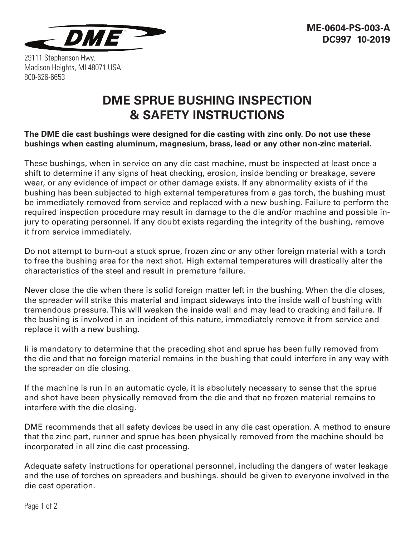

29111 Stephenson Hwy. Madison Heights, MI 48071 USA 800-626-6653

## **DME SPRUE BUSHING INSPECTION & SAFETY INSTRUCTIONS**

## **The DME die cast bushings were designed for die casting with zinc only. Do not use these bushings when casting aluminum, magnesium, brass, lead or any other non-zinc material.**

These bushings, when in service on any die cast machine, must be inspected at least once a shift to determine if any signs of heat checking, erosion, inside bending or breakage, severe wear, or any evidence of impact or other damage exists. If any abnormality exists of if the bushing has been subjected to high external temperatures from a gas torch, the bushing must be immediately removed from service and replaced with a new bushing. Failure to perform the required inspection procedure may result in damage to the die and/or machine and possible injury to operating personnel. If any doubt exists regarding the integrity of the bushing, remove it from service immediately.

Do not attempt to burn-out a stuck sprue, frozen zinc or any other foreign material with a torch to free the bushing area for the next shot. High external temperatures will drastically alter the characteristics of the steel and result in premature failure.

Never close the die when there is solid foreign matter left in the bushing. When the die closes, the spreader will strike this material and impact sideways into the inside wall of bushing with tremendous pressure. This will weaken the inside wall and may lead to cracking and failure. If the bushing is involved in an incident of this nature, immediately remove it from service and replace it with a new bushing.

Ii is mandatory to determine that the preceding shot and sprue has been fully removed from the die and that no foreign material remains in the bushing that could interfere in any way with the spreader on die closing.

If the machine is run in an automatic cycle, it is absolutely necessary to sense that the sprue and shot have been physically removed from the die and that no frozen material remains to interfere with the die closing.

DME recommends that all safety devices be used in any die cast operation. A method to ensure that the zinc part, runner and sprue has been physically removed from the machine should be incorporated in all zinc die cast processing.

Adequate safety instructions for operational personnel, including the dangers of water leakage and the use of torches on spreaders and bushings. should be given to everyone involved in the die cast operation.